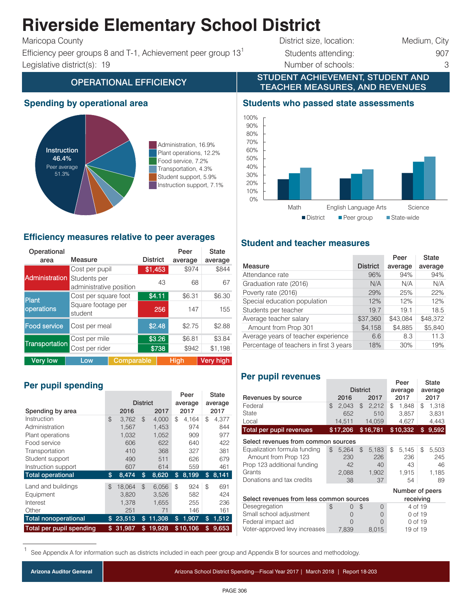## **Riverside Elementary School District**

Efficiency peer groups 8 and T-1, Achievement peer group  $13<sup>1</sup>$  Students attending: 907 Legislative district(s): 19 Number of schools: 3

# Maricopa County **District size, location:** Medium, City

STUDENT ACHIEVEMENT, STUDENT AND

## OPERATIONAL EFFICIENCY **TEACHER MEASURES, AND REVENUES**

#### **Spending by operational area**



Administration, 16.9% Plant operations, 12.2% Food service, 7.2% Transportation, 4.3% Student support, 5.9% Instruction support, 7.1%

#### **Efficiency measures relative to peer averages**

| Operational<br>area              | Measure                                 | <b>District</b>  | Peer<br>average | <b>State</b><br>average |  |  |
|----------------------------------|-----------------------------------------|------------------|-----------------|-------------------------|--|--|
|                                  | Cost per pupil                          | \$1,453          | \$974           | \$844                   |  |  |
| <b>Administration</b>            | Students per<br>administrative position |                  | 43<br>68        | 67                      |  |  |
| <b>Plant</b>                     | Cost per square foot                    | \$4.11<br>\$6.31 | \$6.30          |                         |  |  |
| operations                       | Square footage per<br>student           | 256              | 147             | 155                     |  |  |
| <b>Food service</b>              | Cost per meal                           | \$2.48           | \$2.75          | \$2.88                  |  |  |
|                                  | Cost per mile                           | \$3.26           | \$6.81          | \$3.84                  |  |  |
| Transportation<br>Cost per rider |                                         | \$738            | \$942           | \$1.198                 |  |  |
| <b>Verv low</b>                  | Low                                     | Comparable       | Hiah            | Very high               |  |  |

### **Per pupil spending**

|                             |                |                 | Peer           |         | State |          |    |       |
|-----------------------------|----------------|-----------------|----------------|---------|-------|----------|----|-------|
|                             |                | <b>District</b> |                | average |       | average  |    |       |
| Spending by area            |                | 2016            |                | 2017    |       | 2017     |    | 2017  |
| Instruction                 | $\mathfrak{L}$ | 3,762           | $\mathfrak{L}$ | 4,000   | \$    | 4.164    | \$ | 4,377 |
| Administration              |                | 1,567           |                | 1,453   |       | 974      |    | 844   |
| Plant operations            |                | 1,032           |                | 1,052   |       | 909      |    | 977   |
| Food service                |                | 606             |                | 622     |       | 640      |    | 422   |
| Transportation              |                | 410             |                | 368     |       | 327      |    | 381   |
| Student support             |                | 490             |                | 511     |       | 626      |    | 679   |
| Instruction support         |                | 607             |                | 614     |       | 559      |    | 461   |
| <b>Total operational</b>    | \$             | 8,474           | \$             | 8,620   | \$    | 8,199    | \$ | 8,141 |
| Land and buildings          | $\mathfrak{L}$ | 18,064          | $\mathfrak{L}$ | 6,056   | \$    | 924      | \$ | 691   |
| Equipment                   |                | 3,820           |                | 3,526   |       | 582      |    | 424   |
| Interest                    |                | 1,378           |                | 1,655   |       | 255      |    | 236   |
| Other                       |                | 251             |                | 71      |       | 146      |    | 161   |
| <b>Total nonoperational</b> | S              | 23,513          | \$             | 11,308  | \$    | 1,907    | \$ | 1,512 |
| Total per pupil spending    | \$             | 31.987          | \$             | 19.928  |       | \$10,106 | \$ | 9.653 |

#### **Students who passed state assessments**



#### **Student and teacher measures**

|                                                | Peer     | <b>State</b> |
|------------------------------------------------|----------|--------------|
| <b>District</b>                                | average  | average      |
| 96%                                            | 94%      | 94%          |
| N/A                                            | N/A      | N/A          |
| 29%                                            | 25%      | 22%          |
| 12%                                            | 12%      | 12%          |
| 19.7                                           | 19.1     | 18.5         |
| \$37,360                                       | \$43.084 | \$48,372     |
| \$4,158                                        | \$4,885  | \$5,840      |
| 6.6                                            | 8.3      | 11.3         |
| Percentage of teachers in first 3 years<br>18% | 30%      | 19%          |
|                                                |          |              |

#### **Per pupil revenues**

|                                                       |    |                 |                |              |         | Peer         |         | State        |
|-------------------------------------------------------|----|-----------------|----------------|--------------|---------|--------------|---------|--------------|
|                                                       |    | <b>District</b> |                |              | average |              | average |              |
| Revenues by source                                    |    | 2016            |                | 2017         |         | 2017         |         | 2017         |
| Federal                                               | \$ | 2,043           | $\mathfrak{D}$ | 2,212        | \$      | 1,848        | \$      | 1,318        |
| State                                                 |    | 652             |                | 510          |         | 3,857        |         | 3,831        |
| Local                                                 |    | 14,511          |                | 14,059       |         | 4,627        |         | 4,443        |
| Total per pupil revenues                              |    | \$17,206        |                | \$16,781     |         | \$10,332     | \$      | 9,592        |
| Select revenues from common sources                   |    |                 |                |              |         |              |         |              |
| Equalization formula funding<br>Amount from Prop 123  | \$ | 5,264<br>230    | \$             | 5,183<br>226 | \$      | 5,145<br>236 | \$      | 5,503<br>245 |
| Prop 123 additional funding                           |    | 42              |                | 40           |         | 43           |         | 46           |
| Grants                                                |    | 2,088           |                | 1,902        |         | 1,915        |         | 1,185        |
| Donations and tax credits                             |    | 38              |                | 37           |         | 54           |         | 89           |
| Number of peers                                       |    |                 |                |              |         |              |         |              |
| Select revenues from less common sources<br>receiving |    |                 |                |              |         |              |         |              |
| Desegregation                                         | \$ | 0               | \$             | $\Omega$     |         | 4 of 19      |         |              |
| Small school adjustment                               |    | 0               |                | O            |         | 0 of 19      |         |              |
| Federal impact aid                                    |    | O               |                | $\bigcap$    |         | 0 of 19      |         |              |
| Voter-approved levy increases                         |    | 7.839           |                | 8.015        |         | 19 of 19     |         |              |

See Appendix A for information such as districts included in each peer group and Appendix B for sources and methodology.